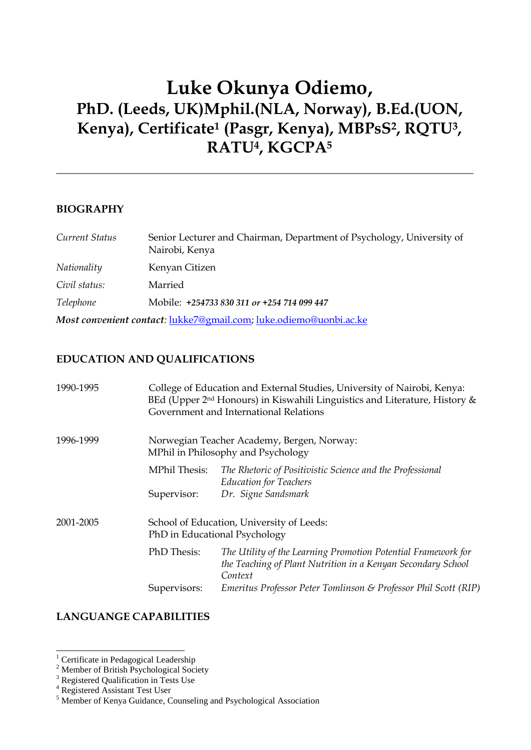# **Luke Okunya Odiemo, PhD. (Leeds, UK)Mphil.(NLA, Norway), B.Ed.(UON, Kenya), Certificate<sup>1</sup> (Pasgr, Kenya), MBPsS<sup>2</sup> , RQTU<sup>3</sup> , RATU<sup>4</sup> , KGCPA<sup>5</sup>**

\_\_\_\_\_\_\_\_\_\_\_\_\_\_\_\_\_\_\_\_\_\_\_\_\_\_\_\_\_\_\_\_\_\_\_\_\_\_\_\_\_\_\_\_\_\_\_\_\_\_\_\_\_\_\_\_\_\_\_\_\_\_\_\_\_\_\_\_\_\_\_\_\_\_\_\_\_\_

#### **BIOGRAPHY**

| Current Status | Senior Lecturer and Chairman, Department of Psychology, University of<br>Nairobi, Kenya |
|----------------|-----------------------------------------------------------------------------------------|
| Nationality    | Kenyan Citizen                                                                          |
| Civil status:  | Married                                                                                 |
| Telephone      | Mobile: +254733 830 311 or +254 714 099 447                                             |
|                | Most convenient contact: lukke7@gmail.com; luke.odiemo@uonbi.ac.ke                      |

## **EDUCATION AND QUALIFICATIONS**

| 1990-1995 |                                                                                  | College of Education and External Studies, University of Nairobi, Kenya:<br>BEd (Upper $2nd$ Honours) in Kiswahili Linguistics and Literature, History $\&$<br>Government and International Relations |  |  |
|-----------|----------------------------------------------------------------------------------|-------------------------------------------------------------------------------------------------------------------------------------------------------------------------------------------------------|--|--|
| 1996-1999 | Norwegian Teacher Academy, Bergen, Norway:<br>MPhil in Philosophy and Psychology |                                                                                                                                                                                                       |  |  |
|           | MPhil Thesis:<br>Supervisor:                                                     | The Rhetoric of Positivistic Science and the Professional<br><b>Education for Teachers</b><br>Dr. Signe Sandsmark                                                                                     |  |  |
| 2001-2005 | School of Education, University of Leeds:<br>PhD in Educational Psychology       |                                                                                                                                                                                                       |  |  |
|           | PhD Thesis:                                                                      | The Utility of the Learning Promotion Potential Framework for<br>the Teaching of Plant Nutrition in a Kenyan Secondary School<br>Context                                                              |  |  |
|           | Supervisors:                                                                     | Emeritus Professor Peter Tomlinson & Professor Phil Scott (RIP)                                                                                                                                       |  |  |

## **LANGUANGE CAPABILITIES**

<sup>-</sup><sup>1</sup> Certificate in Pedagogical Leadership

<sup>&</sup>lt;sup>2</sup> Member of British Psychological Society

<sup>&</sup>lt;sup>3</sup> Registered Qualification in Tests Use

<sup>&</sup>lt;sup>4</sup> Registered Assistant Test User

<sup>&</sup>lt;sup>5</sup> Member of Kenya Guidance, Counseling and Psychological Association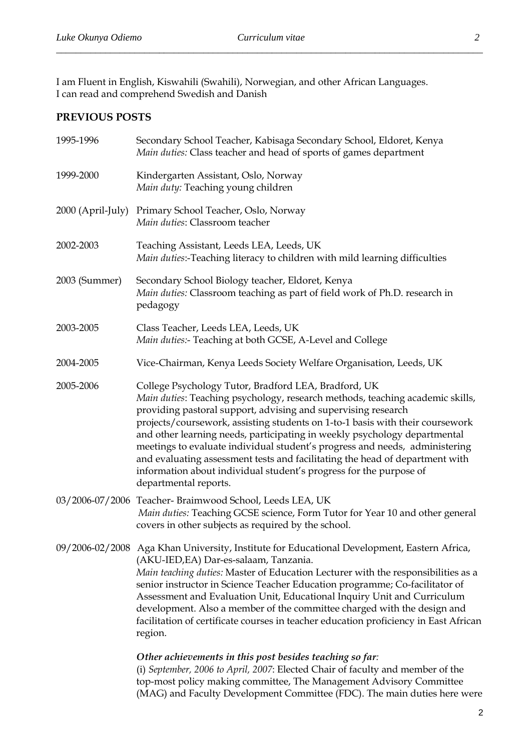I am Fluent in English, Kiswahili (Swahili), Norwegian, and other African Languages. I can read and comprehend Swedish and Danish

## **PREVIOUS POSTS**

| 1995-1996         | Secondary School Teacher, Kabisaga Secondary School, Eldoret, Kenya<br>Main duties: Class teacher and head of sports of games department                                                                                                                                                                                                                                                                                                                                                                                                                                                                                           |  |
|-------------------|------------------------------------------------------------------------------------------------------------------------------------------------------------------------------------------------------------------------------------------------------------------------------------------------------------------------------------------------------------------------------------------------------------------------------------------------------------------------------------------------------------------------------------------------------------------------------------------------------------------------------------|--|
| 1999-2000         | Kindergarten Assistant, Oslo, Norway<br>Main duty: Teaching young children                                                                                                                                                                                                                                                                                                                                                                                                                                                                                                                                                         |  |
| 2000 (April-July) | Primary School Teacher, Oslo, Norway<br>Main duties: Classroom teacher                                                                                                                                                                                                                                                                                                                                                                                                                                                                                                                                                             |  |
| 2002-2003         | Teaching Assistant, Leeds LEA, Leeds, UK<br>Main duties:-Teaching literacy to children with mild learning difficulties                                                                                                                                                                                                                                                                                                                                                                                                                                                                                                             |  |
| 2003 (Summer)     | Secondary School Biology teacher, Eldoret, Kenya<br>Main duties: Classroom teaching as part of field work of Ph.D. research in<br>pedagogy                                                                                                                                                                                                                                                                                                                                                                                                                                                                                         |  |
| 2003-2005         | Class Teacher, Leeds LEA, Leeds, UK<br>Main duties:- Teaching at both GCSE, A-Level and College                                                                                                                                                                                                                                                                                                                                                                                                                                                                                                                                    |  |
| 2004-2005         | Vice-Chairman, Kenya Leeds Society Welfare Organisation, Leeds, UK                                                                                                                                                                                                                                                                                                                                                                                                                                                                                                                                                                 |  |
| 2005-2006         | College Psychology Tutor, Bradford LEA, Bradford, UK<br>Main duties: Teaching psychology, research methods, teaching academic skills,<br>providing pastoral support, advising and supervising research<br>projects/coursework, assisting students on 1-to-1 basis with their coursework<br>and other learning needs, participating in weekly psychology departmental<br>meetings to evaluate individual student's progress and needs, administering<br>and evaluating assessment tests and facilitating the head of department with<br>information about individual student's progress for the purpose of<br>departmental reports. |  |
|                   | 03/2006-07/2006 Teacher-Braimwood School, Leeds LEA, UK<br>Main duties: Teaching GCSE science, Form Tutor for Year 10 and other general<br>covers in other subjects as required by the school.                                                                                                                                                                                                                                                                                                                                                                                                                                     |  |
|                   | 09/2006-02/2008 Aga Khan University, Institute for Educational Development, Eastern Africa,<br>(AKU-IED, EA) Dar-es-salaam, Tanzania.<br>Main teaching duties: Master of Education Lecturer with the responsibilities as a<br>senior instructor in Science Teacher Education programme; Co-facilitator of<br>Assessment and Evaluation Unit, Educational Inquiry Unit and Curriculum<br>development. Also a member of the committee charged with the design and<br>facilitation of certificate courses in teacher education proficiency in East African<br>region.                                                                 |  |
|                   | Other achievements in this post besides teaching so far:<br>(i) September, 2006 to April, 2007: Elected Chair of faculty and member of the<br>top-most policy making committee, The Management Advisory Committee<br>(MAG) and Faculty Development Committee (FDC). The main duties here were                                                                                                                                                                                                                                                                                                                                      |  |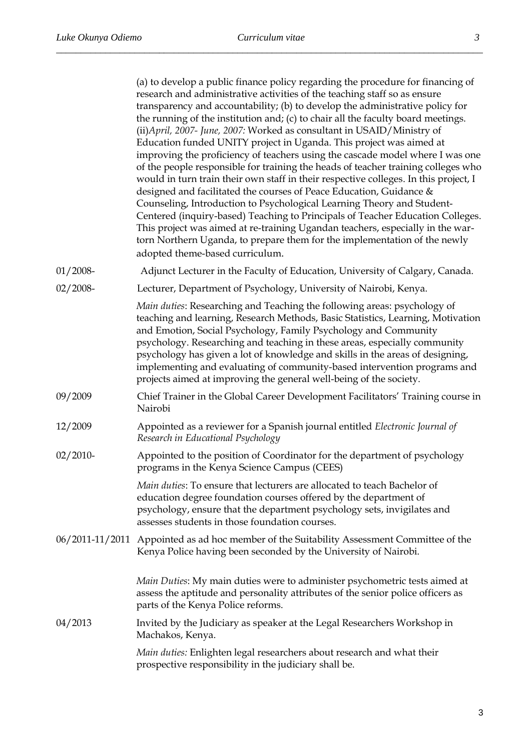|             | (a) to develop a public finance policy regarding the procedure for financing of<br>research and administrative activities of the teaching staff so as ensure<br>transparency and accountability; (b) to develop the administrative policy for<br>the running of the institution and; (c) to chair all the faculty board meetings.<br>(ii) April, 2007- June, 2007: Worked as consultant in USAID/Ministry of<br>Education funded UNITY project in Uganda. This project was aimed at<br>improving the proficiency of teachers using the cascade model where I was one<br>of the people responsible for training the heads of teacher training colleges who<br>would in turn train their own staff in their respective colleges. In this project, I<br>designed and facilitated the courses of Peace Education, Guidance &<br>Counseling, Introduction to Psychological Learning Theory and Student-<br>Centered (inquiry-based) Teaching to Principals of Teacher Education Colleges.<br>This project was aimed at re-training Ugandan teachers, especially in the war-<br>torn Northern Uganda, to prepare them for the implementation of the newly<br>adopted theme-based curriculum. |
|-------------|----------------------------------------------------------------------------------------------------------------------------------------------------------------------------------------------------------------------------------------------------------------------------------------------------------------------------------------------------------------------------------------------------------------------------------------------------------------------------------------------------------------------------------------------------------------------------------------------------------------------------------------------------------------------------------------------------------------------------------------------------------------------------------------------------------------------------------------------------------------------------------------------------------------------------------------------------------------------------------------------------------------------------------------------------------------------------------------------------------------------------------------------------------------------------------------|
| $01/2008 -$ | Adjunct Lecturer in the Faculty of Education, University of Calgary, Canada.                                                                                                                                                                                                                                                                                                                                                                                                                                                                                                                                                                                                                                                                                                                                                                                                                                                                                                                                                                                                                                                                                                           |
| $02/2008 -$ | Lecturer, Department of Psychology, University of Nairobi, Kenya.                                                                                                                                                                                                                                                                                                                                                                                                                                                                                                                                                                                                                                                                                                                                                                                                                                                                                                                                                                                                                                                                                                                      |
|             | Main duties: Researching and Teaching the following areas: psychology of<br>teaching and learning, Research Methods, Basic Statistics, Learning, Motivation<br>and Emotion, Social Psychology, Family Psychology and Community<br>psychology. Researching and teaching in these areas, especially community<br>psychology has given a lot of knowledge and skills in the areas of designing,<br>implementing and evaluating of community-based intervention programs and<br>projects aimed at improving the general well-being of the society.                                                                                                                                                                                                                                                                                                                                                                                                                                                                                                                                                                                                                                         |
| 09/2009     | Chief Trainer in the Global Career Development Facilitators' Training course in<br>Nairobi                                                                                                                                                                                                                                                                                                                                                                                                                                                                                                                                                                                                                                                                                                                                                                                                                                                                                                                                                                                                                                                                                             |
| 12/2009     | Appointed as a reviewer for a Spanish journal entitled Electronic Journal of<br>Research in Educational Psychology                                                                                                                                                                                                                                                                                                                                                                                                                                                                                                                                                                                                                                                                                                                                                                                                                                                                                                                                                                                                                                                                     |
| $02/2010-$  | Appointed to the position of Coordinator for the department of psychology<br>programs in the Kenya Science Campus (CEES)                                                                                                                                                                                                                                                                                                                                                                                                                                                                                                                                                                                                                                                                                                                                                                                                                                                                                                                                                                                                                                                               |
|             | <i>Main duties:</i> To ensure that lecturers are allocated to teach Bachelor of<br>education degree foundation courses offered by the department of<br>psychology, ensure that the department psychology sets, invigilates and<br>assesses students in those foundation courses.                                                                                                                                                                                                                                                                                                                                                                                                                                                                                                                                                                                                                                                                                                                                                                                                                                                                                                       |
|             | 06/2011-11/2011 Appointed as ad hoc member of the Suitability Assessment Committee of the<br>Kenya Police having been seconded by the University of Nairobi.                                                                                                                                                                                                                                                                                                                                                                                                                                                                                                                                                                                                                                                                                                                                                                                                                                                                                                                                                                                                                           |
|             | Main Duties: My main duties were to administer psychometric tests aimed at<br>assess the aptitude and personality attributes of the senior police officers as<br>parts of the Kenya Police reforms.                                                                                                                                                                                                                                                                                                                                                                                                                                                                                                                                                                                                                                                                                                                                                                                                                                                                                                                                                                                    |
| 04/2013     | Invited by the Judiciary as speaker at the Legal Researchers Workshop in<br>Machakos, Kenya.                                                                                                                                                                                                                                                                                                                                                                                                                                                                                                                                                                                                                                                                                                                                                                                                                                                                                                                                                                                                                                                                                           |
|             | Main duties: Enlighten legal researchers about research and what their<br>prospective responsibility in the judiciary shall be.                                                                                                                                                                                                                                                                                                                                                                                                                                                                                                                                                                                                                                                                                                                                                                                                                                                                                                                                                                                                                                                        |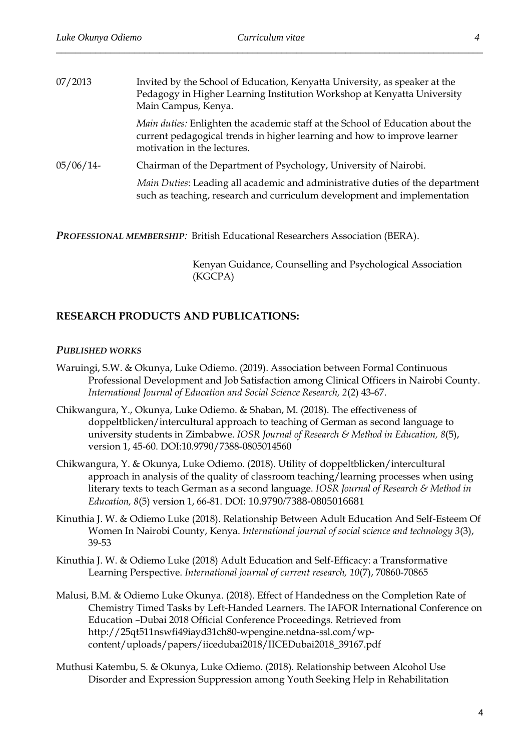| Invited by the School of Education, Kenyatta University, as speaker at the<br>Pedagogy in Higher Learning Institution Workshop at Kenyatta University<br>Main Campus, Kenya.                     |
|--------------------------------------------------------------------------------------------------------------------------------------------------------------------------------------------------|
| <i>Main duties:</i> Enlighten the academic staff at the School of Education about the<br>current pedagogical trends in higher learning and how to improve learner<br>motivation in the lectures. |
| Chairman of the Department of Psychology, University of Nairobi.                                                                                                                                 |
| Main Duties: Leading all academic and administrative duties of the department<br>such as teaching, research and curriculum development and implementation                                        |
|                                                                                                                                                                                                  |

*PROFESSIONAL MEMBERSHIP:* British Educational Researchers Association (BERA).

Kenyan Guidance, Counselling and Psychological Association (KGCPA)

#### **RESEARCH PRODUCTS AND PUBLICATIONS:**

#### *PUBLISHED WORKS*

- Waruingi, S.W. & Okunya, Luke Odiemo. (2019). Association between Formal Continuous Professional Development and Job Satisfaction among Clinical Officers in Nairobi County. *International Journal of Education and Social Science Research, 2*(2) 43-67.
- Chikwangura, Y., Okunya, Luke Odiemo. & Shaban, M. (2018). The effectiveness of doppeltblicken/intercultural approach to teaching of German as second language to university students in Zimbabwe. *IOSR Journal of Research & Method in Education, 8*(5), version 1, 45-60. DOI:10.9790/7388-0805014560
- Chikwangura, Y. & Okunya, Luke Odiemo. (2018). Utility of doppeltblicken/intercultural approach in analysis of the quality of classroom teaching/learning processes when using literary texts to teach German as a second language. *IOSR Journal of Research & Method in Education, 8*(5) version 1, 66-81. DOI: 10.9790/7388-0805016681
- Kinuthia J. W. & Odiemo Luke (2018). Relationship Between Adult Education And Self-Esteem Of Women In Nairobi County, Kenya. *International journal of social science and technology 3*(3), 39-53
- Kinuthia J. W. & Odiemo Luke (2018) Adult Education and Self-Efficacy: a Transformative Learning Perspective. *International journal of current research, 10*(7), 70860-70865
- Malusi, B.M. & Odiemo Luke Okunya. (2018). Effect of Handedness on the Completion Rate of Chemistry Timed Tasks by Left-Handed Learners. The IAFOR International Conference on Education –Dubai 2018 Official Conference Proceedings. Retrieved from [http://25qt511nswfi49iayd31ch80-wpengine.netdna-ssl.com/wp](http://25qt511nswfi49iayd31ch80-wpengine.netdna-ssl.com/wp-content/uploads/papers/iicedubai2018/IICEDubai2018_39167.pdf)[content/uploads/papers/iicedubai2018/IICEDubai2018\\_39167.pdf](http://25qt511nswfi49iayd31ch80-wpengine.netdna-ssl.com/wp-content/uploads/papers/iicedubai2018/IICEDubai2018_39167.pdf)
- Muthusi Katembu, S. & Okunya, Luke Odiemo. (2018). Relationship between Alcohol Use Disorder and Expression Suppression among Youth Seeking Help in Rehabilitation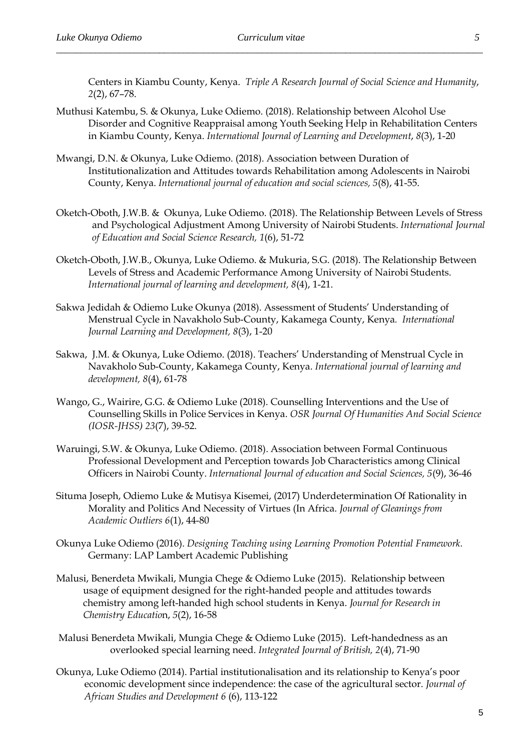Centers in Kiambu County, Kenya. *Triple A Research Journal of Social Science and Humanity*, *2*(2), 67–78.

- Muthusi Katembu, S. & Okunya, Luke Odiemo. (2018). Relationship between Alcohol Use Disorder and Cognitive Reappraisal among Youth Seeking Help in Rehabilitation Centers in Kiambu County, Kenya. *International Journal of Learning and Development*, *8*(3), 1-20
- Mwangi, D.N. & Okunya, Luke Odiemo. (2018). Association between Duration of Institutionalization and Attitudes towards Rehabilitation among Adolescents in Nairobi County, Kenya. *International journal of education and social sciences, 5*(8), 41-55.
- Oketch-Oboth, J.W.B. & Okunya, Luke Odiemo. (2018). The Relationship Between Levels of Stress and Psychological Adjustment Among University of Nairobi Students. *International Journal of Education and Social Science Research, 1*(6), 51-72
- Oketch-Oboth, J.W.B., Okunya, Luke Odiemo. & Mukuria, S.G. (2018). The Relationship Between Levels of Stress and Academic Performance Among University of Nairobi Students. *International journal of learning and development, 8*(4), 1-21.
- Sakwa Jedidah & Odiemo Luke Okunya (2018). Assessment of Students' Understanding of Menstrual Cycle in Navakholo Sub-County, Kakamega County, Kenya*. International Journal Learning and Development, 8*(3), 1-20
- Sakwa, J.M. & Okunya, Luke Odiemo. (2018). Teachers' Understanding of Menstrual Cycle in Navakholo Sub-County, Kakamega County, Kenya. *International journal of learning and development, 8*(4), 61-78
- Wango, G., Wairire, G.G. & Odiemo Luke (2018). Counselling Interventions and the Use of Counselling Skills in Police Services in Kenya. *OSR Journal Of Humanities And Social Science (IOSR-JHSS) 23*(7), 39-52.
- Waruingi, S.W. & Okunya, Luke Odiemo. (2018). Association between Formal Continuous Professional Development and Perception towards Job Characteristics among Clinical Officers in Nairobi County. *International Journal of education and Social Sciences, 5*(9), 36-46
- Situma Joseph, Odiemo Luke & Mutisya Kisemei, (2017) Underdetermination Of Rationality in Morality and Politics And Necessity of Virtues (In Africa. *Journal of Gleanings from Academic Outliers 6*(1), 44-80
- Okunya Luke Odiemo (2016). *[Designing Teaching using Learning Promotion Potential Framework.](https://www.morebooks.de/store/gb/book/designing-teaching-using-learning-promotion-potential-framework/isbn/978-3-330-00906-6)*  Germany: LAP Lambert Academic Publishing
- Malusi, Benerdeta Mwikali, Mungia Chege & Odiemo Luke (2015). Relationship between usage of equipment designed for the right-handed people and attitudes towards chemistry among left-handed high school students in Kenya. *Journal for Research in Chemistry Educatio*n, *5*(2), 16-58
- Malusi Benerdeta Mwikali, Mungia Chege & Odiemo Luke (2015). Left-handedness as an overlooked special learning need. *Integrated Journal of British, 2*(4), 71-90
- Okunya, Luke Odiemo (2014). Partial institutionalisation and its relationship to Kenya's poor economic development since independence: the case of the agricultural sector. *Journal of African Studies and Development 6* (6), 113-122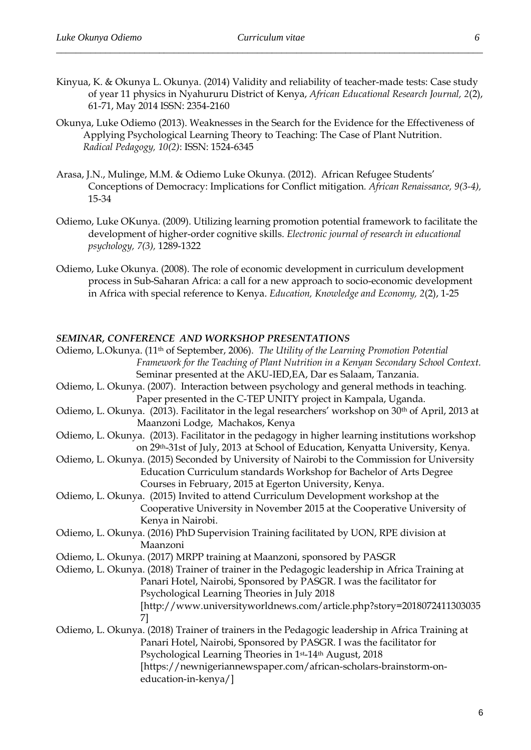- Kinyua, K. & Okunya L. Okunya. (2014) Validity and reliability of teacher-made tests: Case study of year 11 physics in Nyahururu District of Kenya, *African Educational Research Journal, 2*(2), 61-71, May 2014 ISSN: 2354-2160
- Okunya, Luke Odiemo (2013)[. Weaknesses in the Search for the Evidence for the Effectiveness of](http://www.radicalpedagogy.org/radicalpedagogy94/Weaknesses_in_the_Search_for_the_Evidence_for_the_Effectiveness_of_Applying_Psychological_Learning_Theory_to_Teaching__The_Case_of_Plant_Nutrition.html)  [Applying Psychological Learning Theory to Teaching: The Case of Plant Nutrition.](http://www.radicalpedagogy.org/radicalpedagogy94/Weaknesses_in_the_Search_for_the_Evidence_for_the_Effectiveness_of_Applying_Psychological_Learning_Theory_to_Teaching__The_Case_of_Plant_Nutrition.html) *Radical Pedagogy, 10(2)*: ISSN: 1524-6345
- Arasa, J.N., Mulinge, M.M. & Odiemo Luke Okunya. (2012). African Refugee Students' Conceptions of Democracy: Implications for Conflict mitigation*. African Renaissance, 9(3-4),*  15-34
- Odiemo, Luke OKunya. (2009). Utilizing learning promotion potential framework to facilitate the development of higher-order cognitive skills. *Electronic journal of research in educational psychology, 7(3),* 1289-1322
- Odiemo, Luke Okunya. (2008). The role of economic development in curriculum development process in Sub-Saharan Africa: a call for a new approach to socio-economic development in Africa with special reference to Kenya. *Education, Knowledge and Economy, 2*(2), 1-25

#### *SEMINAR, CONFERENCE AND WORKSHOP PRESENTATIONS*

| Odiemo, L.Okunya. (11 <sup>th</sup> of September, 2006). The Utility of the Learning Promotion Potential |  |
|----------------------------------------------------------------------------------------------------------|--|
| Framework for the Teaching of Plant Nutrition in a Kenyan Secondary School Context.                      |  |
| Seminar presented at the AKU-IED, EA, Dar es Salaam, Tanzania.                                           |  |
| Odiemo, L. Okunya. (2007). Interaction between psychology and general methods in teaching.               |  |
| Paper presented in the C-TEP UNITY project in Kampala, Uganda.                                           |  |
| Odiemo, L. Okunya. (2013). Facilitator in the legal researchers' workshop on 30th of April, 2013 at      |  |
| Maanzoni Lodge, Machakos, Kenya                                                                          |  |
| Odiemo, L. Okunya. (2013). Facilitator in the pedagogy in higher learning institutions workshop          |  |
| on 29th-31st of July, 2013 at School of Education, Kenyatta University, Kenya.                           |  |
| Odiemo, L. Okunya. (2015) Seconded by University of Nairobi to the Commission for University             |  |
| Education Curriculum standards Workshop for Bachelor of Arts Degree                                      |  |
| Courses in February, 2015 at Egerton University, Kenya.                                                  |  |
| Odiemo, L. Okunya. (2015) Invited to attend Curriculum Development workshop at the                       |  |
| Cooperative University in November 2015 at the Cooperative University of                                 |  |
| Kenya in Nairobi.                                                                                        |  |
| Odiemo, L. Okunya. (2016) PhD Supervision Training facilitated by UON, RPE division at                   |  |
| Maanzoni                                                                                                 |  |
| Odiemo, L. Okunya. (2017) MRPP training at Maanzoni, sponsored by PASGR                                  |  |
| Odiemo, L. Okunya. (2018) Trainer of trainer in the Pedagogic leadership in Africa Training at           |  |
| Panari Hotel, Nairobi, Sponsored by PASGR. I was the facilitator for                                     |  |
| Psychological Learning Theories in July 2018                                                             |  |
| [http://www.universityworldnews.com/article.php?story=2018072411303035                                   |  |
| 71                                                                                                       |  |
| Odiemo, L. Okunya. (2018) Trainer of trainers in the Pedagogic leadership in Africa Training at          |  |
| Panari Hotel, Nairobi, Sponsored by PASGR. I was the facilitator for                                     |  |
| Psychological Learning Theories in 1st-14th August, 2018                                                 |  |
| [https://newnigeriannewspaper.com/african-scholars-brainstorm-on-                                        |  |
| education-in-kenya/]                                                                                     |  |
|                                                                                                          |  |
|                                                                                                          |  |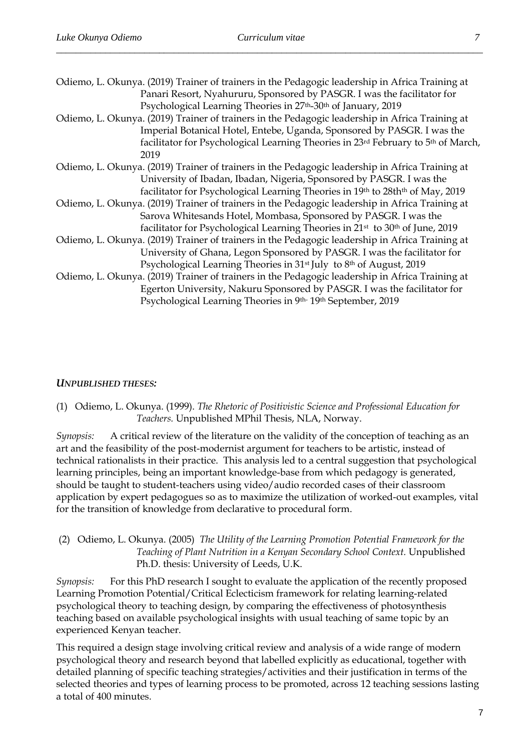| Odiemo, L. Okunya. (2019) Trainer of trainers in the Pedagogic leadership in Africa Training at       |  |  |
|-------------------------------------------------------------------------------------------------------|--|--|
| Panari Resort, Nyahururu, Sponsored by PASGR. I was the facilitator for                               |  |  |
| Psychological Learning Theories in 27 <sup>th</sup> -30 <sup>th</sup> of January, 2019                |  |  |
| Odiemo, L. Okunya. (2019) Trainer of trainers in the Pedagogic leadership in Africa Training at       |  |  |
| Imperial Botanical Hotel, Entebe, Uganda, Sponsored by PASGR. I was the                               |  |  |
| facilitator for Psychological Learning Theories in 23rd February to 5th of March,                     |  |  |
| 2019                                                                                                  |  |  |
| Odiemo, L. Okunya. (2019) Trainer of trainers in the Pedagogic leadership in Africa Training at       |  |  |
| University of Ibadan, Ibadan, Nigeria, Sponsored by PASGR. I was the                                  |  |  |
| facilitator for Psychological Learning Theories in 19th to 28th <sup>th</sup> of May, 2019            |  |  |
| Odiemo, L. Okunya. (2019) Trainer of trainers in the Pedagogic leadership in Africa Training at       |  |  |
| Sarova Whitesands Hotel, Mombasa, Sponsored by PASGR. I was the                                       |  |  |
| facilitator for Psychological Learning Theories in 21 <sup>st</sup> to 30 <sup>th</sup> of June, 2019 |  |  |
| Odiemo, L. Okunya. (2019) Trainer of trainers in the Pedagogic leadership in Africa Training at       |  |  |
| University of Ghana, Legon Sponsored by PASGR. I was the facilitator for                              |  |  |
| Psychological Learning Theories in 31 <sup>st</sup> July to 8 <sup>th</sup> of August, 2019           |  |  |
| Odiemo, L. Okunya. (2019) Trainer of trainers in the Pedagogic leadership in Africa Training at       |  |  |
| Egerton University, Nakuru Sponsored by PASGR. I was the facilitator for                              |  |  |
| Psychological Learning Theories in 9th-19th September, 2019                                           |  |  |
|                                                                                                       |  |  |

#### *UNPUBLISHED THESES:*

(1) Odiemo, L. Okunya. (1999). *The Rhetoric of Positivistic Science and Professional Education for Teachers.* Unpublished MPhil Thesis, NLA, Norway.

*Synopsis:* A critical review of the literature on the validity of the conception of teaching as an art and the feasibility of the post-modernist argument for teachers to be artistic, instead of technical rationalists in their practice. This analysis led to a central suggestion that psychological learning principles, being an important knowledge-base from which pedagogy is generated, should be taught to student-teachers using video/audio recorded cases of their classroom application by expert pedagogues so as to maximize the utilization of worked-out examples, vital for the transition of knowledge from declarative to procedural form.

(2) Odiemo, L. Okunya. (2005) *The Utility of the Learning Promotion Potential Framework for the Teaching of Plant Nutrition in a Kenyan Secondary School Context.* Unpublished Ph.D. thesis: University of Leeds, U.K.

*Synopsis:* For this PhD research I sought to evaluate the application of the recently proposed Learning Promotion Potential/Critical Eclecticism framework for relating learning-related psychological theory to teaching design, by comparing the effectiveness of photosynthesis teaching based on available psychological insights with usual teaching of same topic by an experienced Kenyan teacher.

This required a design stage involving critical review and analysis of a wide range of modern psychological theory and research beyond that labelled explicitly as educational, together with detailed planning of specific teaching strategies/activities and their justification in terms of the selected theories and types of learning process to be promoted, across 12 teaching sessions lasting a total of 400 minutes.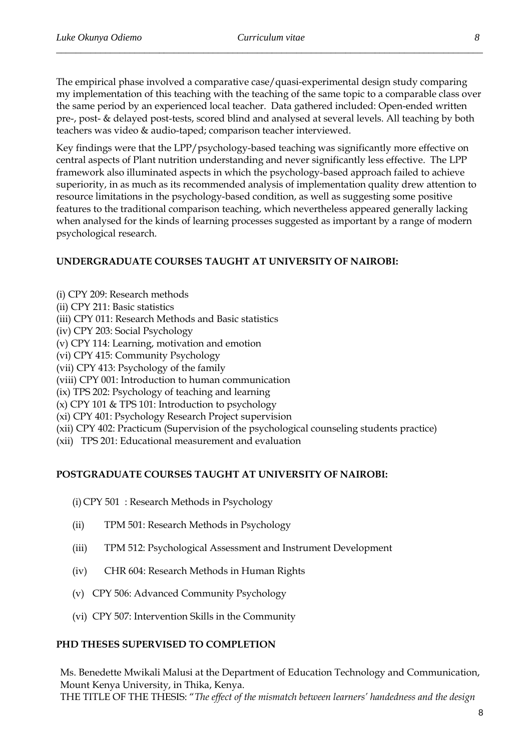The empirical phase involved a comparative case/quasi-experimental design study comparing my implementation of this teaching with the teaching of the same topic to a comparable class over the same period by an experienced local teacher. Data gathered included: Open-ended written pre-, post- & delayed post-tests, scored blind and analysed at several levels. All teaching by both teachers was video & audio-taped; comparison teacher interviewed.

Key findings were that the LPP/psychology-based teaching was significantly more effective on central aspects of Plant nutrition understanding and never significantly less effective. The LPP framework also illuminated aspects in which the psychology-based approach failed to achieve superiority, in as much as its recommended analysis of implementation quality drew attention to resource limitations in the psychology-based condition, as well as suggesting some positive features to the traditional comparison teaching, which nevertheless appeared generally lacking when analysed for the kinds of learning processes suggested as important by a range of modern psychological research.

### **UNDERGRADUATE COURSES TAUGHT AT UNIVERSITY OF NAIROBI:**

(i) CPY 209: Research methods (ii) CPY 211: Basic statistics (iii) CPY 011: Research Methods and Basic statistics (iv) CPY 203: Social Psychology

(v) CPY 114: Learning, motivation and emotion

(vi) CPY 415: Community Psychology

(vii) CPY 413: Psychology of the family

(viii) CPY 001: Introduction to human communication

(ix) TPS 202: Psychology of teaching and learning

(x) CPY 101 & TPS 101: Introduction to psychology

(xi) CPY 401: Psychology Research Project supervision

(xii) CPY 402: Practicum (Supervision of the psychological counseling students practice)

(xii) TPS 201: Educational measurement and evaluation

## **POSTGRADUATE COURSES TAUGHT AT UNIVERSITY OF NAIROBI:**

(i) CPY 501 : Research Methods in Psychology

- (ii) TPM 501: Research Methods in Psychology
- (iii) TPM 512: Psychological Assessment and Instrument Development
- (iv) CHR 604: Research Methods in Human Rights
- (v) CPY 506: Advanced Community Psychology
- (vi) CPY 507: Intervention Skills in the Community

#### **PHD THESES SUPERVISED TO COMPLETION**

Ms. Benedette Mwikali Malusi at the Department of Education Technology and Communication, Mount Kenya University, in Thika, Kenya. THE TITLE OF THE THESIS: "*The effect of the mismatch between learners' handedness and the design*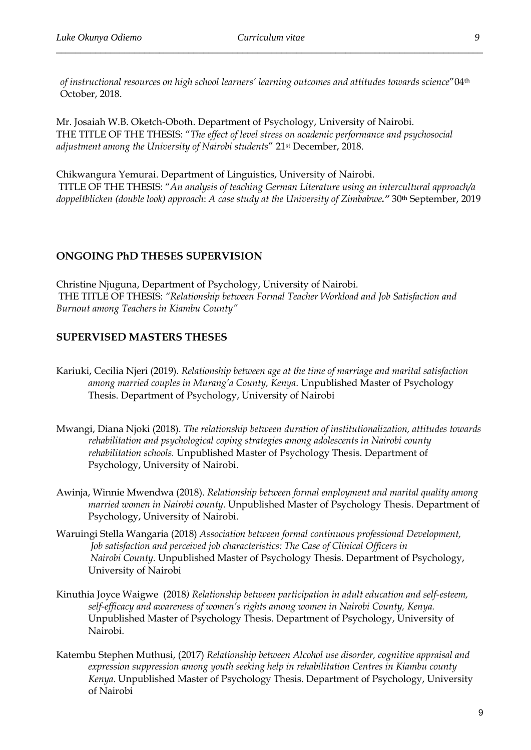*of instructional resources on high school learners' learning outcomes and attitudes towards science*"04th October, 2018.

Mr. Josaiah W.B. Oketch-Oboth. Department of Psychology, University of Nairobi. THE TITLE OF THE THESIS: "*The effect of level stress on academic performance and psychosocial adjustment among the University of Nairobi students*" 21st December, 2018.

Chikwangura Yemurai. Department of Linguistics, University of Nairobi. TITLE OF THE THESIS: "*An analysis of teaching German Literature using an intercultural approach/a doppeltblicken (double look) approach*: *A case study at the University of Zimbabwe."* 30th September, 2019

#### **ONGOING PhD THESES SUPERVISION**

Christine Njuguna, Department of Psychology, University of Nairobi. THE TITLE OF THESIS: *"Relationship between Formal Teacher Workload and Job Satisfaction and Burnout among Teachers in Kiambu County"*

#### **SUPERVISED MASTERS THESES**

- Kariuki, Cecilia Njeri (2019). *Relationship between age at the time of marriage and marital satisfaction among married couples in Murang'a County, Kenya*. Unpublished Master of Psychology Thesis. Department of Psychology, University of Nairobi
- Mwangi, Diana Njoki (2018). *The relationship between duration of institutionalization, attitudes towards rehabilitation and psychological coping strategies among adolescents in Nairobi county rehabilitation schools.* Unpublished Master of Psychology Thesis. Department of Psychology, University of Nairobi.
- Awinja, Winnie Mwendwa (2018). *Relationship between formal employment and marital quality among married women in Nairobi county.* Unpublished Master of Psychology Thesis. Department of Psychology, University of Nairobi.
- Waruingi Stella Wangaria (2018) *Association between formal continuous professional Development, Job satisfaction and perceived job characteristics: The Case of Clinical Officers in Nairobi County.* Unpublished Master of Psychology Thesis. Department of Psychology, University of Nairobi
- Kinuthia Joyce Waigwe (2018*) Relationship between participation in adult education and self-esteem, self-efficacy and awareness of women's rights among women in Nairobi County, Kenya.* Unpublished Master of Psychology Thesis. Department of Psychology, University of Nairobi.
- Katembu Stephen Muthusi, (2017) *Relationship between Alcohol use disorder, cognitive appraisal and expression suppression among youth seeking help in rehabilitation Centres in Kiambu county Kenya.* Unpublished Master of Psychology Thesis. Department of Psychology, University of Nairobi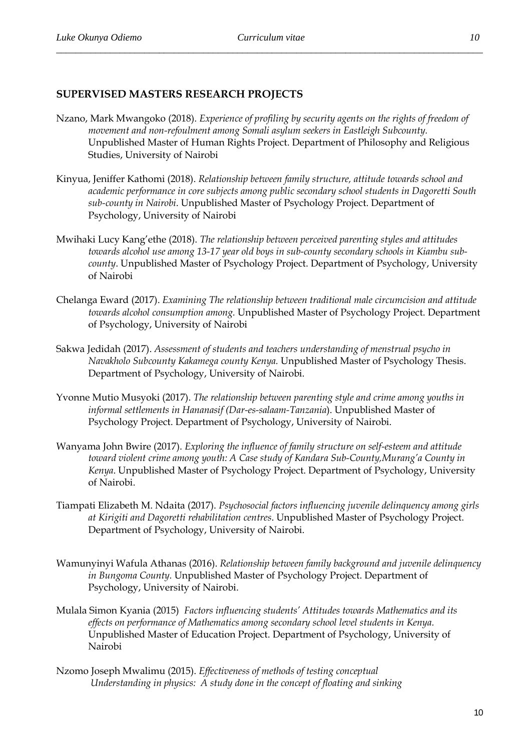## **SUPERVISED MASTERS RESEARCH PROJECTS**

- Nzano, Mark Mwangoko (2018). *Experience of profiling by security agents on the rights of freedom of movement and non-refoulment among Somali asylum seekers in Eastleigh Subcounty.* Unpublished Master of Human Rights Project. Department of Philosophy and Religious Studies, University of Nairobi
- Kinyua, Jeniffer Kathomi (2018). *Relationship between family structure, attitude towards school and academic performance in core subjects among public secondary school students in Dagoretti South sub-county in Nairobi*. Unpublished Master of Psychology Project. Department of Psychology, University of Nairobi
- Mwihaki Lucy Kang'ethe (2018). *The relationship between perceived parenting styles and attitudes towards alcohol use among 13-17 year old boys in sub-county secondary schools in Kiambu subcounty*. Unpublished Master of Psychology Project. Department of Psychology, University of Nairobi
- Chelanga Eward (2017). *Examining The relationship between traditional male circumcision and attitude towards alcohol consumption among.* Unpublished Master of Psychology Project. Department of Psychology, University of Nairobi
- Sakwa Jedidah (2017). *Assessment of students and teachers understanding of menstrual psycho in Navakholo Subcounty Kakamega county Kenya.* Unpublished Master of Psychology Thesis. Department of Psychology, University of Nairobi.
- Yvonne Mutio Musyoki (2017). *The relationship between parenting style and crime among youths in informal settlements in Hananasif (Dar-es-salaam-Tanzania*). Unpublished Master of Psychology Project. Department of Psychology, University of Nairobi.
- Wanyama John Bwire (2017). *Exploring the influence of family structure on self-esteem and attitude toward violent crime among youth: A Case study of Kandara Sub-County,Murang'a County in Kenya*. Unpublished Master of Psychology Project. Department of Psychology, University of Nairobi.
- Tiampati Elizabeth M. Ndaita (2017). *Psychosocial factors influencing juvenile delinquency among girls at Kirigiti and Dagoretti rehabilitation centres*. Unpublished Master of Psychology Project. Department of Psychology, University of Nairobi.
- Wamunyinyi Wafula Athanas (2016). *Relationship between family background and juvenile delinquency in Bungoma County.* Unpublished Master of Psychology Project. Department of Psychology, University of Nairobi.
- Mulala Simon Kyania (2015) *Factors influencing students' Attitudes towards Mathematics and its effects on performance of Mathematics among secondary school level students in Kenya.* Unpublished Master of Education Project. Department of Psychology, University of Nairobi
- Nzomo Joseph Mwalimu (2015). *Effectiveness of methods of testing conceptual Understanding in physics: A study done in the concept of floating and sinking*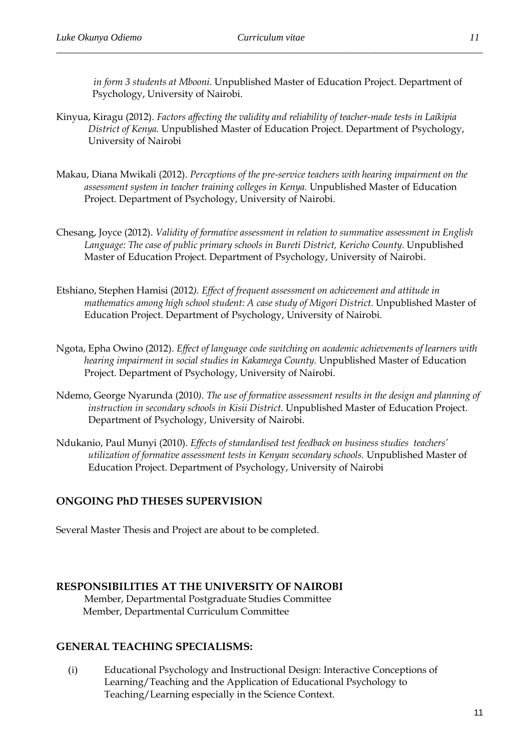*in form 3 students at Mbooni.* Unpublished Master of Education Project. Department of Psychology, University of Nairobi.

- Kinyua, Kiragu (2012). *Factors affecting the validity and reliability of teacher-made tests in Laikipia District of Kenya.* Unpublished Master of Education Project. Department of Psychology, University of Nairobi
- Makau, Diana Mwikali (2012). *Perceptions of the pre-service teachers with hearing impairment on the assessment system in teacher training colleges in Kenya.* Unpublished Master of Education Project. Department of Psychology, University of Nairobi.
- Chesang, Joyce (2012). *Validity of formative assessment in relation to summative assessment in English*  Language: The case of public primary schools in Bureti District, Kericho County. Unpublished Master of Education Project. Department of Psychology, University of Nairobi.
- Etshiano, Stephen Hamisi (2012*). Effect of frequent assessment on achievement and attitude in mathematics among high school student: A case study of Migori District.* Unpublished Master of Education Project. Department of Psychology, University of Nairobi.
- Ngota, Epha Owino (2012). *Effect of language code switching on academic achievements of learners with hearing impairment in social studies in Kakamega County.* Unpublished Master of Education Project. Department of Psychology, University of Nairobi.
- Ndemo, George Nyarunda (2010*). The use of formative assessment results in the design and planning of instruction in secondary schools in Kisii District.* Unpublished Master of Education Project. Department of Psychology, University of Nairobi.
- Ndukanio, Paul Munyi (2010). *Effects of standardised test feedback on business studies teachers' utilization of formative assessment tests in Kenyan secondary schools.* Unpublished Master of Education Project. Department of Psychology, University of Nairobi

# **ONGOING PhD THESES SUPERVISION**

Several Master Thesis and Project are about to be completed.

## **RESPONSIBILITIES AT THE UNIVERSITY OF NAIROBI**

Member, Departmental Postgraduate Studies Committee Member, Departmental Curriculum Committee

## **GENERAL TEACHING SPECIALISMS:**

(i) Educational Psychology and Instructional Design: Interactive Conceptions of Learning/Teaching and the Application of Educational Psychology to Teaching/Learning especially in the Science Context.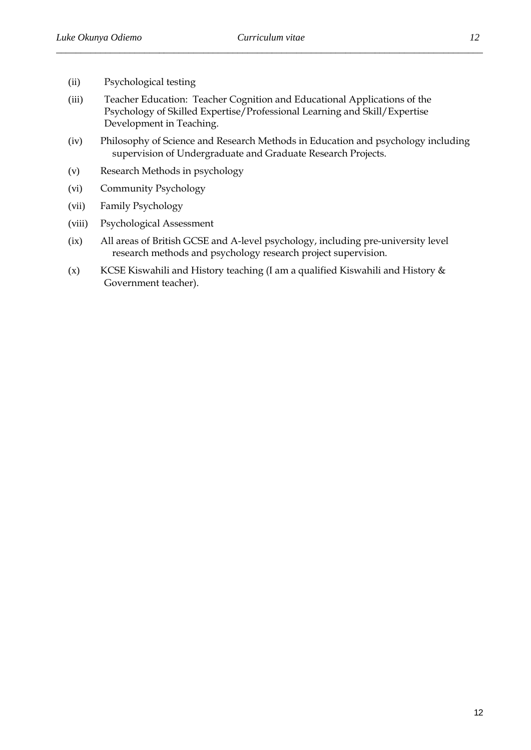- (ii) Psychological testing
- (iii) Teacher Education: Teacher Cognition and Educational Applications of the Psychology of Skilled Expertise/Professional Learning and Skill/Expertise Development in Teaching.
- (iv) Philosophy of Science and Research Methods in Education and psychology including supervision of Undergraduate and Graduate Research Projects.
- (v) Research Methods in psychology
- (vi) Community Psychology
- (vii) Family Psychology
- (viii) Psychological Assessment
- (ix) All areas of British GCSE and A-level psychology, including pre-university level research methods and psychology research project supervision.
- (x) KCSE Kiswahili and History teaching (I am a qualified Kiswahili and History  $\&$ Government teacher).